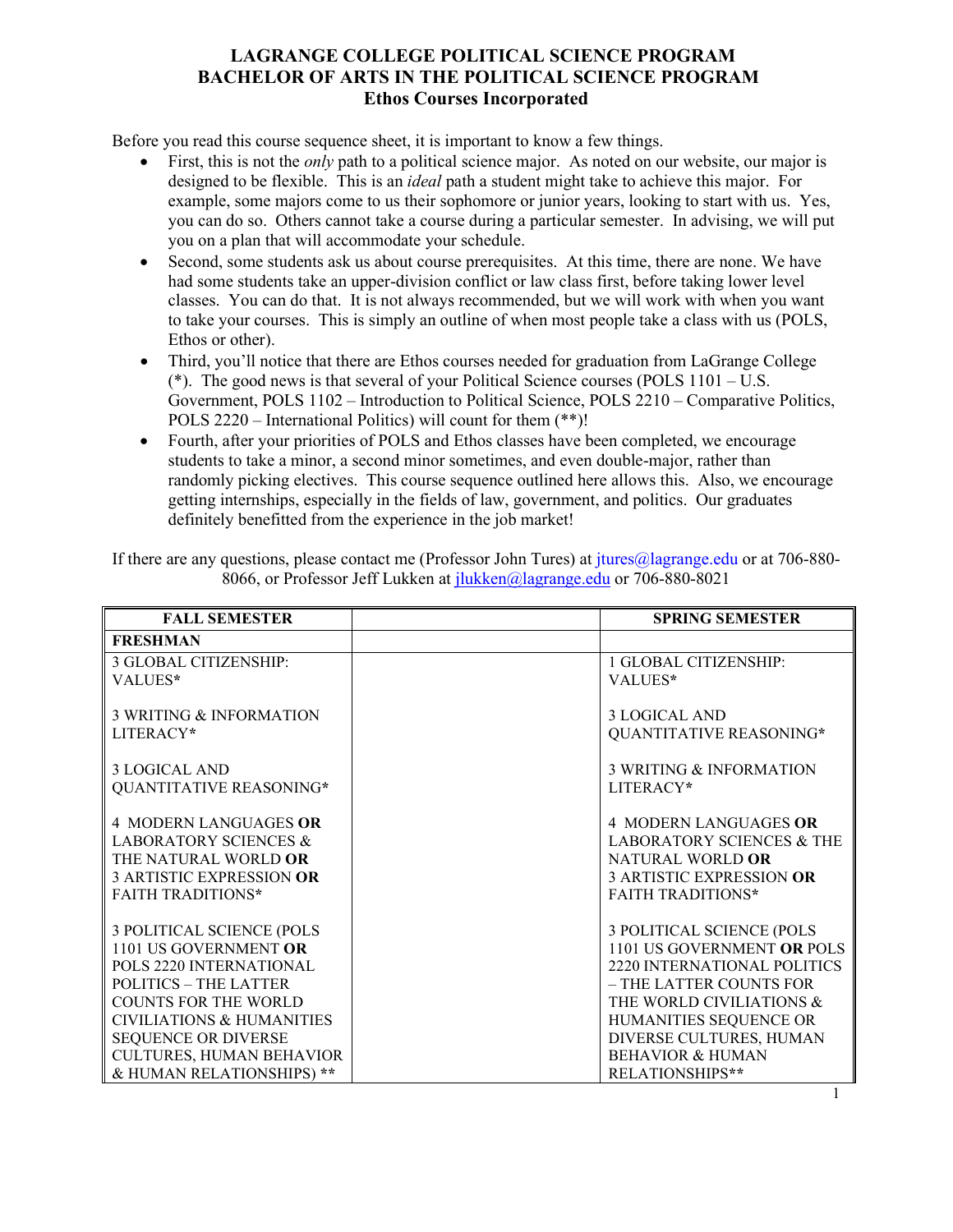## **LAGRANGE COLLEGE POLITICAL SCIENCE PROGRAM BACHELOR OF ARTS IN THE POLITICAL SCIENCE PROGRAM Ethos Courses Incorporated**

Before you read this course sequence sheet, it is important to know a few things.

- First, this is not the *only* path to a political science major. As noted on our website, our major is designed to be flexible. This is an *ideal* path a student might take to achieve this major. For example, some majors come to us their sophomore or junior years, looking to start with us. Yes, you can do so. Others cannot take a course during a particular semester. In advising, we will put you on a plan that will accommodate your schedule.
- Second, some students ask us about course prerequisites. At this time, there are none. We have had some students take an upper-division conflict or law class first, before taking lower level classes. You can do that. It is not always recommended, but we will work with when you want to take your courses. This is simply an outline of when most people take a class with us (POLS, Ethos or other).
- Third, you'll notice that there are Ethos courses needed for graduation from LaGrange College  $(*)$ . The good news is that several of your Political Science courses (POLS  $1101 - U.S$ . Government, POLS 1102 – Introduction to Political Science, POLS 2210 – Comparative Politics, POLS 2220 – International Politics) will count for them (\*\*)!
- Fourth, after your priorities of POLS and Ethos classes have been completed, we encourage students to take a minor, a second minor sometimes, and even double-major, rather than randomly picking electives. This course sequence outlined here allows this. Also, we encourage getting internships, especially in the fields of law, government, and politics. Our graduates definitely benefitted from the experience in the job market!

| If there are any questions, please contact me (Professor John Tures) at jtures@lagrange.edu or at 706-880- |  |
|------------------------------------------------------------------------------------------------------------|--|
| 8066, or Professor Jeff Lukken at <i>jlukken@lagrange.edu</i> or 706-880-8021                              |  |

| <b>FALL SEMESTER</b>                 | <b>SPRING SEMESTER</b>               |
|--------------------------------------|--------------------------------------|
| <b>FRESHMAN</b>                      |                                      |
| <b>3 GLOBAL CITIZENSHIP:</b>         | 1 GLOBAL CITIZENSHIP:                |
| VALUES*                              | VALUES*                              |
| <b>3 WRITING &amp; INFORMATION</b>   | <b>3 LOGICAL AND</b>                 |
| LITERACY*                            | QUANTITATIVE REASONING*              |
| <b>3 LOGICAL AND</b>                 | 3 WRITING & INFORMATION              |
| QUANTITATIVE REASONING*              | LITERACY*                            |
| <b>4 MODERN LANGUAGES OR</b>         | <b>4 MODERN LANGUAGES OR</b>         |
| <b>LABORATORY SCIENCES &amp;</b>     | <b>LABORATORY SCIENCES &amp; THE</b> |
| THE NATURAL WORLD OR                 | NATURAL WORLD OR                     |
| <b>3 ARTISTIC EXPRESSION OR</b>      | <b>3 ARTISTIC EXPRESSION OR</b>      |
| <b>FAITH TRADITIONS*</b>             | <b>FAITH TRADITIONS*</b>             |
| 3 POLITICAL SCIENCE (POLS            | 3 POLITICAL SCIENCE (POLS            |
| 1101 US GOVERNMENT OR                | 1101 US GOVERNMENT OR POLS           |
| POLS 2220 INTERNATIONAL              | 2220 INTERNATIONAL POLITICS          |
| POLITICS - THE LATTER                | - THE LATTER COUNTS FOR              |
| <b>COUNTS FOR THE WORLD</b>          | THE WORLD CIVILIATIONS &             |
| <b>CIVILIATIONS &amp; HUMANITIES</b> | HUMANITIES SEQUENCE OR               |
| <b>SEQUENCE OR DIVERSE</b>           | DIVERSE CULTURES, HUMAN              |
| <b>CULTURES, HUMAN BEHAVIOR</b>      | <b>BEHAVIOR &amp; HUMAN</b>          |
| & HUMAN RELATIONSHIPS) **            | RELATIONSHIPS**                      |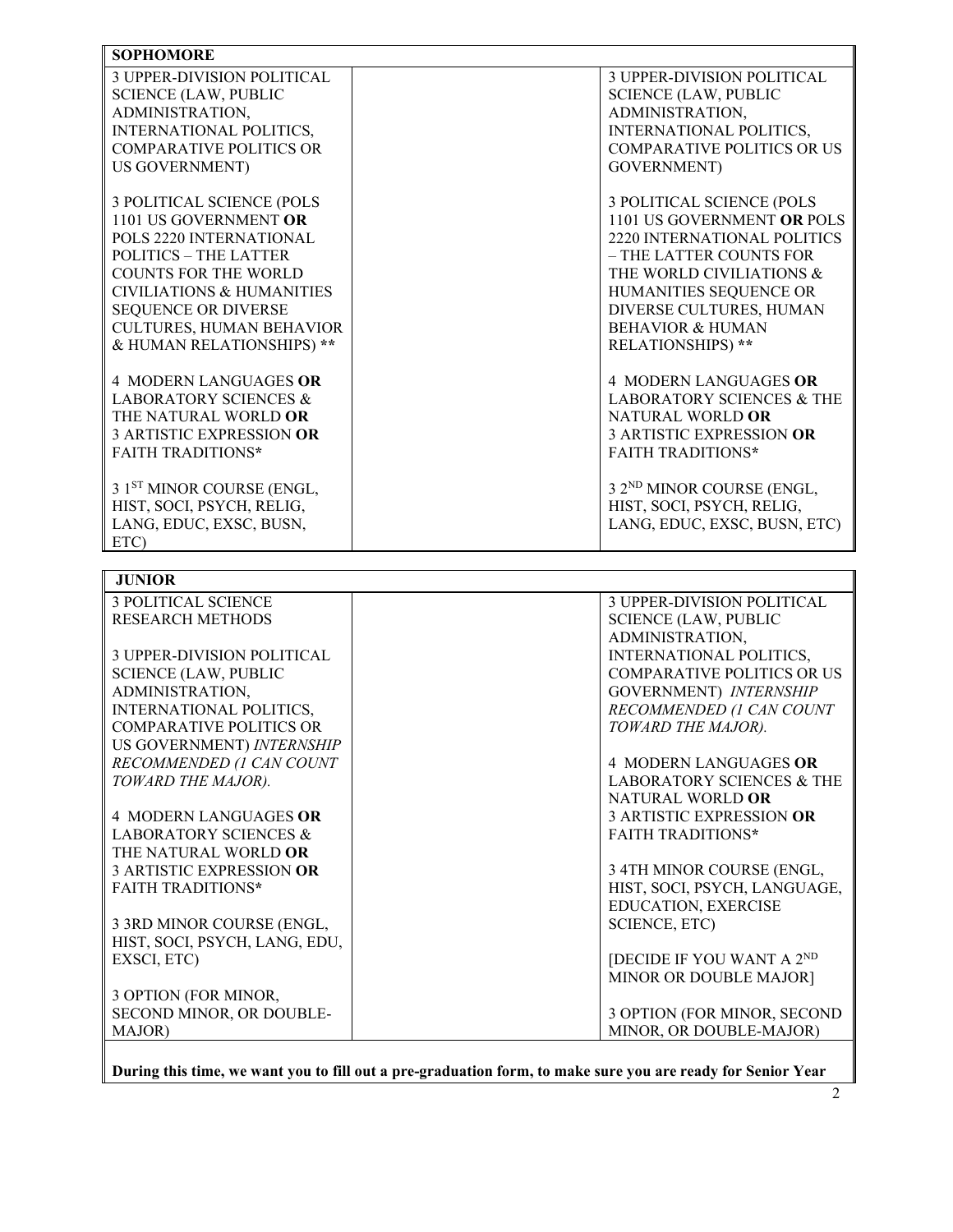| <b>SOPHOMORE</b>                     |                                       |  |  |  |
|--------------------------------------|---------------------------------------|--|--|--|
| <b>3 UPPER-DIVISION POLITICAL</b>    | <b>3 UPPER-DIVISION POLITICAL</b>     |  |  |  |
| <b>SCIENCE (LAW, PUBLIC</b>          | <b>SCIENCE (LAW, PUBLIC</b>           |  |  |  |
| ADMINISTRATION,                      | ADMINISTRATION,                       |  |  |  |
| INTERNATIONAL POLITICS,              | INTERNATIONAL POLITICS,               |  |  |  |
| <b>COMPARATIVE POLITICS OR</b>       | <b>COMPARATIVE POLITICS OR US</b>     |  |  |  |
| <b>US GOVERNMENT)</b>                | <b>GOVERNMENT</b> )                   |  |  |  |
|                                      |                                       |  |  |  |
| 3 POLITICAL SCIENCE (POLS            | 3 POLITICAL SCIENCE (POLS             |  |  |  |
| 1101 US GOVERNMENT OR                | 1101 US GOVERNMENT OR POLS            |  |  |  |
| POLS 2220 INTERNATIONAL              | 2220 INTERNATIONAL POLITICS           |  |  |  |
| <b>POLITICS – THE LATTER</b>         | – THE LATTER COUNTS FOR               |  |  |  |
| <b>COUNTS FOR THE WORLD</b>          | THE WORLD CIVILIATIONS &              |  |  |  |
| <b>CIVILIATIONS &amp; HUMANITIES</b> | HUMANITIES SEQUENCE OR                |  |  |  |
| <b>SEQUENCE OR DIVERSE</b>           | DIVERSE CULTURES, HUMAN               |  |  |  |
| <b>CULTURES, HUMAN BEHAVIOR</b>      | <b>BEHAVIOR &amp; HUMAN</b>           |  |  |  |
| & HUMAN RELATIONSHIPS) **            | <b>RELATIONSHIPS)</b> **              |  |  |  |
|                                      |                                       |  |  |  |
| <b>4 MODERN LANGUAGES OR</b>         | <b>4 MODERN LANGUAGES OR</b>          |  |  |  |
| <b>LABORATORY SCIENCES &amp;</b>     | <b>LABORATORY SCIENCES &amp; THE</b>  |  |  |  |
| THE NATURAL WORLD OR                 | NATURAL WORLD OR                      |  |  |  |
| <b>3 ARTISTIC EXPRESSION OR</b>      | <b>3 ARTISTIC EXPRESSION OR</b>       |  |  |  |
| <b>FAITH TRADITIONS*</b>             | <b>FAITH TRADITIONS*</b>              |  |  |  |
|                                      |                                       |  |  |  |
| 3 1ST MINOR COURSE (ENGL,            | 3 2 <sup>ND</sup> MINOR COURSE (ENGL, |  |  |  |
| HIST, SOCI, PSYCH, RELIG,            | HIST, SOCI, PSYCH, RELIG,             |  |  |  |
| LANG, EDUC, EXSC, BUSN,              | LANG, EDUC, EXSC, BUSN, ETC)          |  |  |  |
| ETC)                                 |                                       |  |  |  |
|                                      |                                       |  |  |  |

| <b>JUNIOR</b>                                                                                               |                                      |  |  |  |
|-------------------------------------------------------------------------------------------------------------|--------------------------------------|--|--|--|
| <b>3 POLITICAL SCIENCE</b>                                                                                  | <b>3 UPPER-DIVISION POLITICAL</b>    |  |  |  |
| <b>RESEARCH METHODS</b>                                                                                     | <b>SCIENCE (LAW, PUBLIC</b>          |  |  |  |
|                                                                                                             | ADMINISTRATION,                      |  |  |  |
| 3 UPPER-DIVISION POLITICAL                                                                                  | <b>INTERNATIONAL POLITICS,</b>       |  |  |  |
| <b>SCIENCE (LAW, PUBLIC</b>                                                                                 | <b>COMPARATIVE POLITICS OR US</b>    |  |  |  |
| ADMINISTRATION,                                                                                             | GOVERNMENT) INTERNSHIP               |  |  |  |
| <b>INTERNATIONAL POLITICS,</b>                                                                              | RECOMMENDED (1 CAN COUNT             |  |  |  |
| <b>COMPARATIVE POLITICS OR</b>                                                                              | TOWARD THE MAJOR).                   |  |  |  |
| US GOVERNMENT) INTERNSHIP                                                                                   |                                      |  |  |  |
| RECOMMENDED (1 CAN COUNT                                                                                    | <b>4 MODERN LANGUAGES OR</b>         |  |  |  |
| TOWARD THE MAJOR).                                                                                          | <b>LABORATORY SCIENCES &amp; THE</b> |  |  |  |
|                                                                                                             | NATURAL WORLD OR                     |  |  |  |
| <b>4 MODERN LANGUAGES OR</b>                                                                                | <b>3 ARTISTIC EXPRESSION OR</b>      |  |  |  |
| <b>LABORATORY SCIENCES &amp;</b>                                                                            | <b>FAITH TRADITIONS*</b>             |  |  |  |
| THE NATURAL WORLD <b>OR</b>                                                                                 |                                      |  |  |  |
| <b>3 ARTISTIC EXPRESSION OR</b>                                                                             | 3 4TH MINOR COURSE (ENGL,            |  |  |  |
| <b>FAITH TRADITIONS*</b>                                                                                    | HIST, SOCI, PSYCH, LANGUAGE,         |  |  |  |
|                                                                                                             | <b>EDUCATION, EXERCISE</b>           |  |  |  |
| 3 3RD MINOR COURSE (ENGL,                                                                                   | <b>SCIENCE, ETC)</b>                 |  |  |  |
| HIST, SOCI, PSYCH, LANG, EDU,                                                                               |                                      |  |  |  |
| EXSCI, ETC)                                                                                                 | [DECIDE IF YOU WANT A 2ND            |  |  |  |
|                                                                                                             | MINOR OR DOUBLE MAJOR]               |  |  |  |
| 3 OPTION (FOR MINOR,                                                                                        |                                      |  |  |  |
| SECOND MINOR, OR DOUBLE-                                                                                    | 3 OPTION (FOR MINOR, SECOND          |  |  |  |
| MAJOR)                                                                                                      | MINOR, OR DOUBLE-MAJOR)              |  |  |  |
|                                                                                                             |                                      |  |  |  |
| During this time, we want you to fill out a pre-graduation form, to make sure you are ready for Senior Year |                                      |  |  |  |

**During this time, we want you to fill out a pre-graduation form, to make sure you are ready for Senior Year**